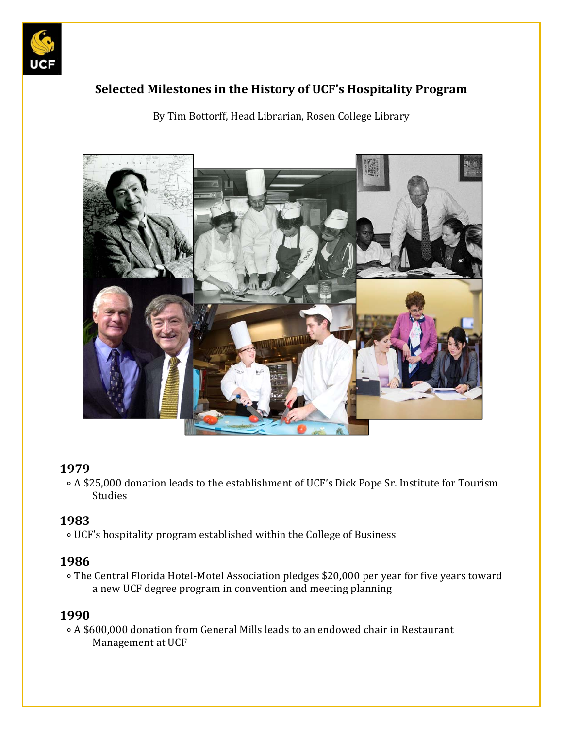

# **Selected Milestones in the History of UCF's Hospitality Program**

By Tim Bottorff, Head Librarian, Rosen College Library



#### **1979**

∘ A \$25,000 donation leads to the establishment of UCF's Dick Pope Sr. Institute for Tourism Studies 

### **1983**

 ∘ UCF's hospitality program established within the College of Business 

#### **1986**

∘ The Central Florida Hotel-Motel Association pledges \$20,000 per year for five years toward a new UCF degree program in convention and meeting planning

#### **1990**

 ∘ A \$600,000 donation from General Mills leads to an endowed chair in Restaurant Management at UCF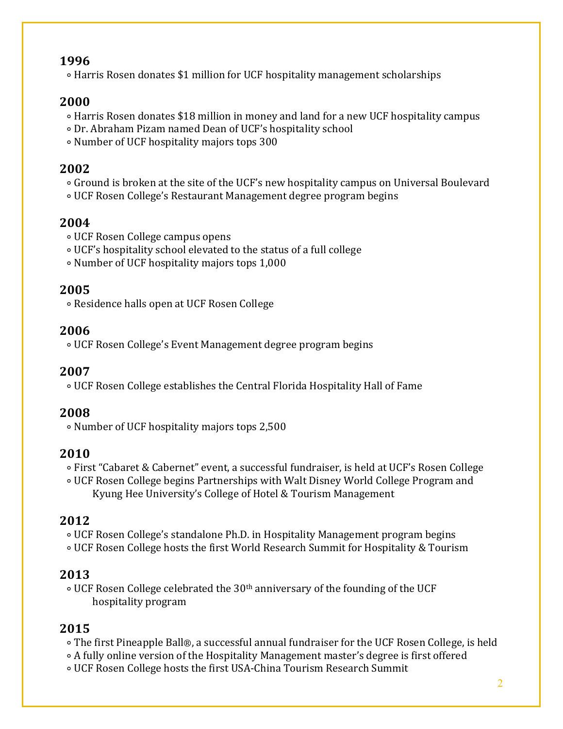### **1996**

∘ Harris Rosen donates \$1 million for UCF hospitality management scholarships

# **2000**

- ∘ Harris Rosen donates \$18 million in money and land for a new UCF hospitality campus
- ∘ Dr. Abraham Pizam named Dean of UCF's hospitality school
- ∘ Number of UCF hospitality majors tops 300

## **2002**

- ∘ Ground is broken at the site of the UCF's new hospitality campus on Universal Boulevard
- ∘ UCF Rosen College's Restaurant Management degree program begins

### **2004**

- ∘ UCF Rosen College campus opens
- ∘ UCF's hospitality school elevated to the status of a full college
- ∘ Number of UCF hospitality majors tops 1,000

### **2005**

 ∘ Residence halls open at UCF Rosen College 

## **2006**

 ∘ UCF Rosen College's Event Management degree program begins

### **2007**

 ∘ UCF Rosen College establishes the Central Florida Hospitality Hall of Fame 

### **2008**

 ∘ Number of UCF hospitality majors tops 2,500 

# **2010**

- ∘ First "Cabaret & Cabernet" event, a successful fundraiser, is held at UCF's Rosen College
- ∘ UCF Rosen College begins Partnerships with Walt Disney World College Program and Kyung Hee University's College of Hotel & Tourism Management

# **2012**

- ∘ UCF Rosen College's standalone Ph.D. in Hospitality Management program begins
- ∘ UCF Rosen College hosts the first World Research Summit for Hospitality & Tourism

# **2013**

∘ UCF Rosen College celebrated the 30<sup>th</sup> anniversary of the founding of the UCF hospitality program

# **2015**

- ∘ The first Pineapple Ball®, a successful annual fundraiser for the UCF Rosen College, is held
- ∘ A fully online version of the Hospitality Management master's degree is first offered
- ∘ UCF Rosen College hosts the first USA‐China Tourism Research Summit